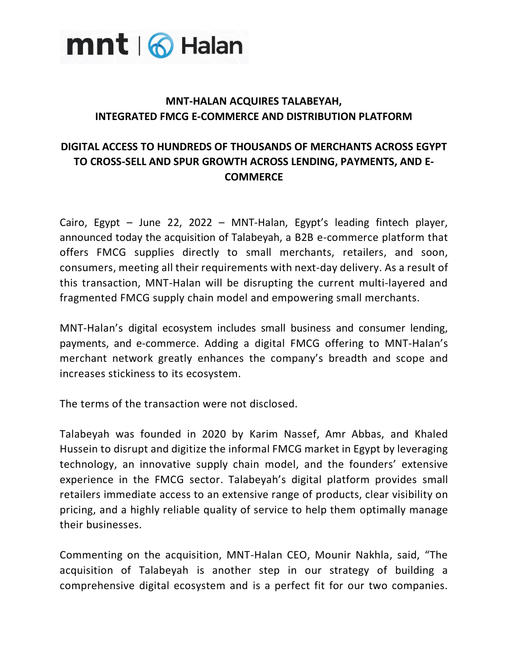

#### **MNT-HALAN ACQUIRES TALABEYAH, INTEGRATED FMCG E-COMMERCE AND DISTRIBUTION PLATFORM**

### **DIGITAL ACCESS TO HUNDREDS OF THOUSANDS OF MERCHANTS ACROSS EGYPT TO CROSS-SELL AND SPUR GROWTH ACROSS LENDING, PAYMENTS, AND E-COMMERCE**

Cairo, Egypt – June 22, 2022 – MNT-Halan, Egypt's leading fintech player, announced today the acquisition of Talabeyah, a B2B e-commerce platform that offers FMCG supplies directly to small merchants, retailers, and soon, consumers, meeting all their requirements with next-day delivery. As a result of this transaction, MNT-Halan will be disrupting the current multi-layered and fragmented FMCG supply chain model and empowering small merchants.

MNT-Halan's digital ecosystem includes small business and consumer lending, payments, and e-commerce. Adding a digital FMCG offering to MNT-Halan's merchant network greatly enhances the company's breadth and scope and increases stickiness to its ecosystem.

The terms of the transaction were not disclosed.

Talabeyah was founded in 2020 by Karim Nassef, Amr Abbas, and Khaled Hussein to disrupt and digitize the informal FMCG market in Egypt by leveraging technology, an innovative supply chain model, and the founders' extensive experience in the FMCG sector. Talabeyah's digital platform provides small retailers immediate access to an extensive range of products, clear visibility on pricing, and a highly reliable quality of service to help them optimally manage their businesses.

Commenting on the acquisition, MNT-Halan CEO, Mounir Nakhla, said, "The acquisition of Talabeyah is another step in our strategy of building a comprehensive digital ecosystem and is a perfect fit for our two companies.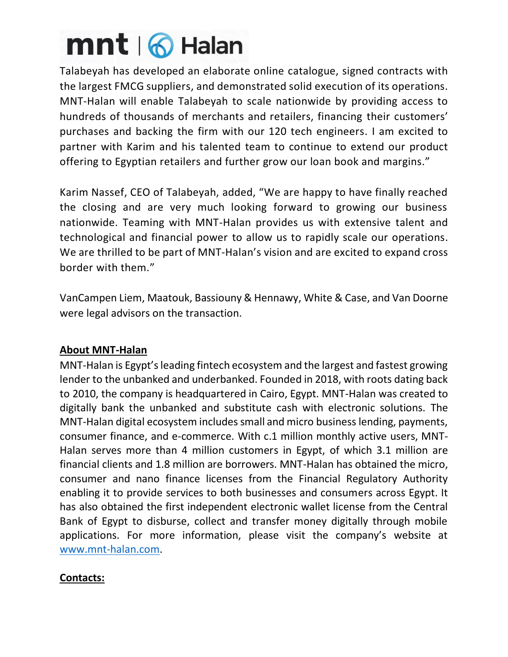# $mnt \, | \, \circledast$  Halan

Talabeyah has developed an elaborate online catalogue, signed contracts with the largest FMCG suppliers, and demonstrated solid execution of its operations. MNT-Halan will enable Talabeyah to scale nationwide by providing access to hundreds of thousands of merchants and retailers, financing their customers' purchases and backing the firm with our 120 tech engineers. I am excited to partner with Karim and his talented team to continue to extend our product offering to Egyptian retailers and further grow our loan book and margins."

Karim Nassef, CEO of Talabeyah, added, "We are happy to have finally reached the closing and are very much looking forward to growing our business nationwide. Teaming with MNT-Halan provides us with extensive talent and technological and financial power to allow us to rapidly scale our operations. We are thrilled to be part of MNT-Halan's vision and are excited to expand cross border with them."

VanCampen Liem, Maatouk, Bassiouny & Hennawy, White & Case, and Van Doorne were legal advisors on the transaction.

#### **About MNT-Halan**

MNT-Halan is Egypt's leading fintech ecosystem and the largest and fastest growing lender to the unbanked and underbanked. Founded in 2018, with roots dating back to 2010, the company is headquartered in Cairo, Egypt. MNT-Halan was created to digitally bank the unbanked and substitute cash with electronic solutions. The MNT-Halan digital ecosystem includes small and micro business lending, payments, consumer finance, and e-commerce. With c.1 million monthly active users, MNT-Halan serves more than 4 million customers in Egypt, of which 3.1 million are financial clients and 1.8 million are borrowers. MNT-Halan has obtained the micro, consumer and nano finance licenses from the Financial Regulatory Authority enabling it to provide services to both businesses and consumers across Egypt. It has also obtained the first independent electronic wallet license from the Central Bank of Egypt to disburse, collect and transfer money digitally through mobile applications. For more information, please visit the company's website at [www.mnt-halan.com.](http://www.mnt-halan.com/)

#### **Contacts:**